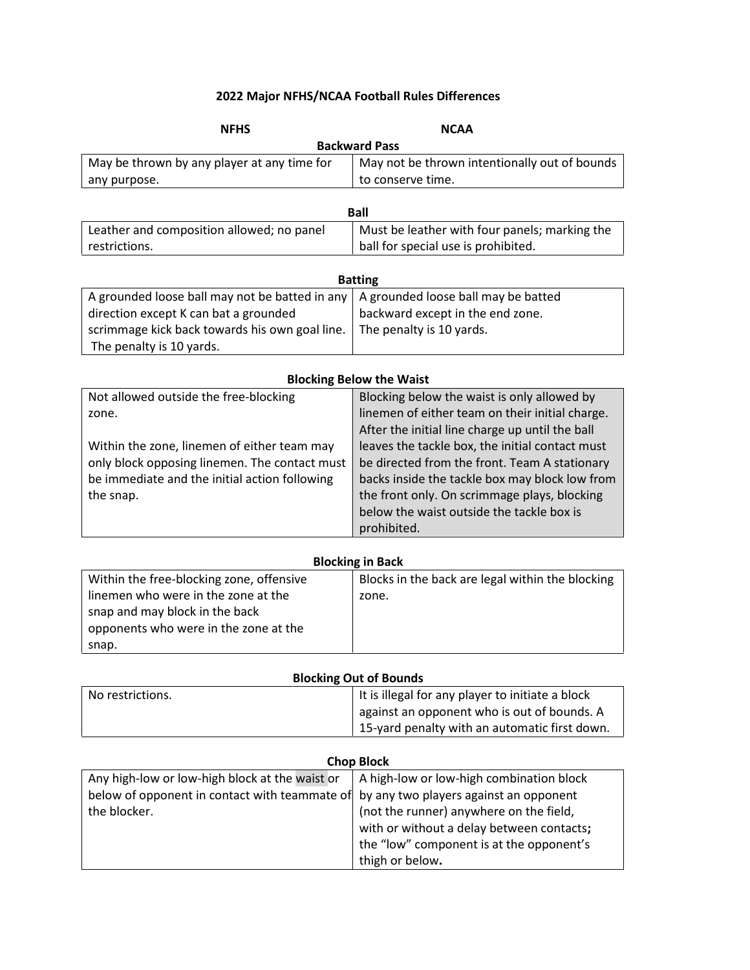# **2022 Major NFHS/NCAA Football Rules Differences**

| <b>NFHS</b>                                    | <b>NCAA</b>                                      |
|------------------------------------------------|--------------------------------------------------|
|                                                | <b>Backward Pass</b>                             |
| May be thrown by any player at any time for    | May not be thrown intentionally out of bounds    |
| any purpose.                                   | to conserve time.                                |
|                                                |                                                  |
|                                                | <b>Ball</b>                                      |
| Leather and composition allowed; no panel      | Must be leather with four panels; marking the    |
| restrictions.                                  | ball for special use is prohibited.              |
|                                                |                                                  |
|                                                | <b>Batting</b>                                   |
| A grounded loose ball may not be batted in any | A grounded loose ball may be batted              |
| direction except K can bat a grounded          | backward except in the end zone.                 |
| scrimmage kick back towards his own goal line. | The penalty is 10 yards.                         |
| The penalty is 10 yards.                       |                                                  |
|                                                |                                                  |
|                                                | <b>Blocking Below the Waist</b>                  |
| Not allowed outside the free-blocking          | Blocking below the waist is only allowed by      |
| zone.                                          | linemen of either team on their initial charge.  |
|                                                | After the initial line charge up until the ball  |
| Within the zone, linemen of either team may    | leaves the tackle box, the initial contact must  |
| only block opposing linemen. The contact must  | be directed from the front. Team A stationary    |
| be immediate and the initial action following  | backs inside the tackle box may block low from   |
| the snap.                                      | the front only. On scrimmage plays, blocking     |
|                                                | below the waist outside the tackle box is        |
|                                                | prohibited.                                      |
|                                                | <b>Blocking in Back</b>                          |
| Within the free-blocking zone, offensive       | Blocks in the back are legal within the blocking |
| linemen who were in the zone at the            | zone.                                            |
| snap and may block in the back                 |                                                  |
| opponents who were in the zone at the          |                                                  |
| snap.                                          |                                                  |
|                                                |                                                  |
|                                                | <b>Blocking Out of Bounds</b>                    |
| No restrictions.                               | It is illegal for any player to initiate a block |
|                                                | against an opponent who is out of bounds. A      |
|                                                | 15-yard penalty with an automatic first down.    |
|                                                |                                                  |
|                                                | <b>Chop Block</b>                                |
| Any high-low or low-high block at the waist or | A high-low or low-high combination block         |
| below of opponent in contact with teammate of  | by any two players against an opponent           |
| the blocker.                                   | (not the runner) anywhere on the field,          |
|                                                | with or without a delay between contacts;        |
|                                                | the "low" component is at the opponent's         |
|                                                | thigh or below.                                  |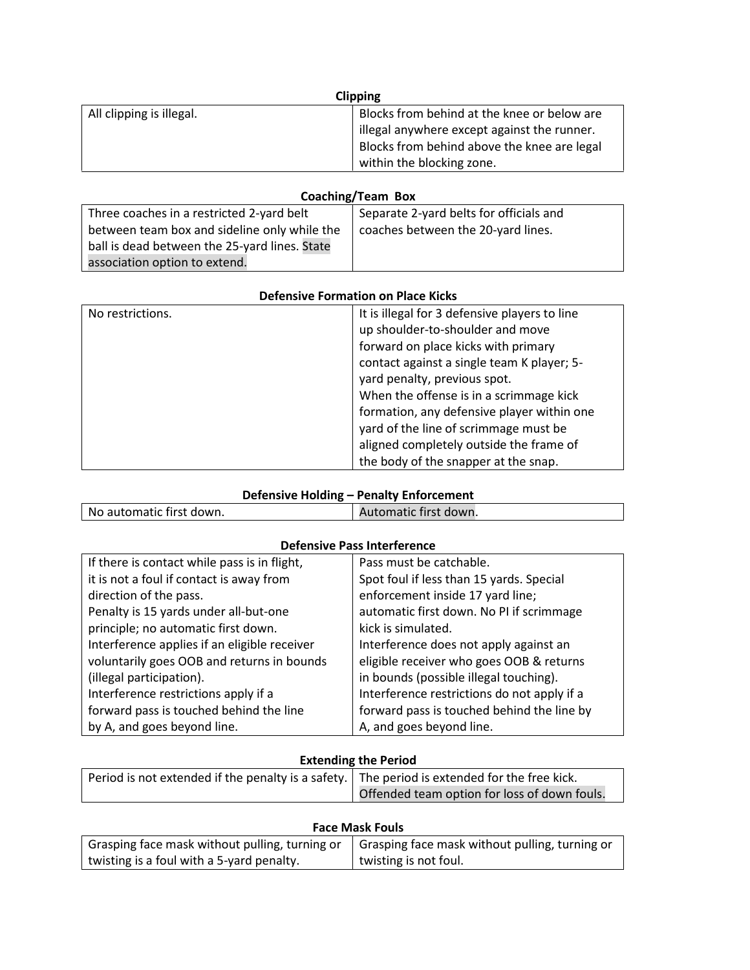| <b>Clipping</b>          |                                             |
|--------------------------|---------------------------------------------|
| All clipping is illegal. | Blocks from behind at the knee or below are |
|                          | illegal anywhere except against the runner. |
|                          | Blocks from behind above the knee are legal |
|                          | within the blocking zone.                   |

## **Coaching/Team Box**

| Three coaches in a restricted 2-yard belt     | Separate 2-yard belts for officials and |
|-----------------------------------------------|-----------------------------------------|
| between team box and sideline only while the  | coaches between the 20-yard lines.      |
| ball is dead between the 25-yard lines. State |                                         |
| association option to extend.                 |                                         |

| No restrictions. | It is illegal for 3 defensive players to line<br>up shoulder-to-shoulder and move<br>forward on place kicks with primary<br>contact against a single team K player; 5-<br>yard penalty, previous spot.<br>When the offense is in a scrimmage kick<br>formation, any defensive player within one<br>yard of the line of scrimmage must be<br>aligned completely outside the frame of |
|------------------|-------------------------------------------------------------------------------------------------------------------------------------------------------------------------------------------------------------------------------------------------------------------------------------------------------------------------------------------------------------------------------------|
|                  | the body of the snapper at the snap.                                                                                                                                                                                                                                                                                                                                                |

## **Defensive Holding – Penalty Enforcement**

| No automatic first down. | Automatic first down. |
|--------------------------|-----------------------|
|                          |                       |

### **Defensive Pass Interference**

| If there is contact while pass is in flight, | Pass must be catchable.                     |  |
|----------------------------------------------|---------------------------------------------|--|
| it is not a foul if contact is away from     | Spot foul if less than 15 yards. Special    |  |
| direction of the pass.                       | enforcement inside 17 yard line;            |  |
| Penalty is 15 yards under all-but-one        | automatic first down. No PI if scrimmage    |  |
| principle; no automatic first down.          | kick is simulated.                          |  |
| Interference applies if an eligible receiver | Interference does not apply against an      |  |
| voluntarily goes OOB and returns in bounds   | eligible receiver who goes OOB & returns    |  |
| (illegal participation).                     | in bounds (possible illegal touching).      |  |
| Interference restrictions apply if a         | Interference restrictions do not apply if a |  |
| forward pass is touched behind the line      | forward pass is touched behind the line by  |  |
| by A, and goes beyond line.                  | A, and goes beyond line.                    |  |

#### **Extending the Period**

| Period is not extended if the penalty is a safety. The period is extended for the free kick. |                                              |
|----------------------------------------------------------------------------------------------|----------------------------------------------|
|                                                                                              | Offended team option for loss of down fouls. |

| <b>Face Mask Fouls</b>                         |                                                |  |
|------------------------------------------------|------------------------------------------------|--|
| Grasping face mask without pulling, turning or | Grasping face mask without pulling, turning or |  |
| twisting is a foul with a 5-yard penalty.      | twisting is not foul.                          |  |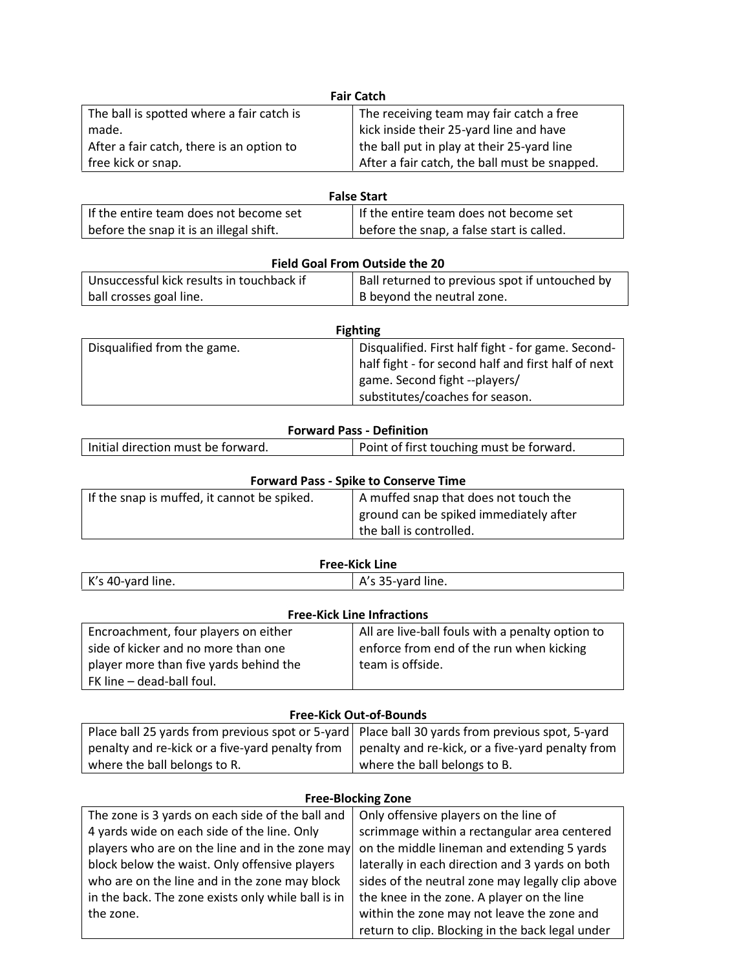| <b>Fair Catch</b>                         |                                               |  |
|-------------------------------------------|-----------------------------------------------|--|
| The ball is spotted where a fair catch is | The receiving team may fair catch a free      |  |
| made.                                     | kick inside their 25-yard line and have       |  |
| After a fair catch, there is an option to | the ball put in play at their 25-yard line    |  |
| free kick or snap.                        | After a fair catch, the ball must be snapped. |  |

| <b>False Start</b>                      |                                           |
|-----------------------------------------|-------------------------------------------|
| If the entire team does not become set  | If the entire team does not become set    |
| before the snap it is an illegal shift. | before the snap, a false start is called. |

| <b>Field Goal From Outside the 20</b>     |                                                |  |
|-------------------------------------------|------------------------------------------------|--|
| Unsuccessful kick results in touchback if | Ball returned to previous spot if untouched by |  |
| ball crosses goal line.                   | B beyond the neutral zone.                     |  |

| <b>Fighting</b>             |                                                                                      |  |
|-----------------------------|--------------------------------------------------------------------------------------|--|
| Disqualified from the game. | Disqualified. First half fight - for game. Second-                                   |  |
|                             | half fight - for second half and first half of next<br>game. Second fight --players/ |  |
|                             | substitutes/coaches for season.                                                      |  |

### **Forward Pass - Definition**

| Point of first touching must be forward.<br>Initial direction must be forward. |
|--------------------------------------------------------------------------------|
|--------------------------------------------------------------------------------|

| <b>Forward Pass - Spike to Conserve Time</b> |                                        |  |
|----------------------------------------------|----------------------------------------|--|
| If the snap is muffed, it cannot be spiked.  | A muffed snap that does not touch the  |  |
|                                              | ground can be spiked immediately after |  |
|                                              | the ball is controlled.                |  |
|                                              |                                        |  |

| <b>Free-Kick Line</b> |                                  |
|-----------------------|----------------------------------|
| K's 40-yard line.     | $\overline{ }$ A's 35-yard line. |

| <b>Free-Kick Line Infractions</b>      |                                                  |  |
|----------------------------------------|--------------------------------------------------|--|
| Encroachment, four players on either   | All are live-ball fouls with a penalty option to |  |
| side of kicker and no more than one    | enforce from end of the run when kicking         |  |
| player more than five yards behind the | team is offside.                                 |  |
| FK line - dead-ball foul.              |                                                  |  |

#### **Free-Kick Out-of-Bounds**

| Place ball 25 yards from previous spot or 5-yard Place ball 30 yards from previous spot, 5-yard |                                                  |
|-------------------------------------------------------------------------------------------------|--------------------------------------------------|
| penalty and re-kick or a five-yard penalty from                                                 | penalty and re-kick, or a five-yard penalty from |
| where the ball belongs to R.                                                                    | where the ball belongs to B.                     |

### **Free-Blocking Zone**

| Only offensive players on the line of            |
|--------------------------------------------------|
| scrimmage within a rectangular area centered     |
| on the middle lineman and extending 5 yards      |
| laterally in each direction and 3 yards on both  |
| sides of the neutral zone may legally clip above |
| the knee in the zone. A player on the line       |
| within the zone may not leave the zone and       |
| return to clip. Blocking in the back legal under |
|                                                  |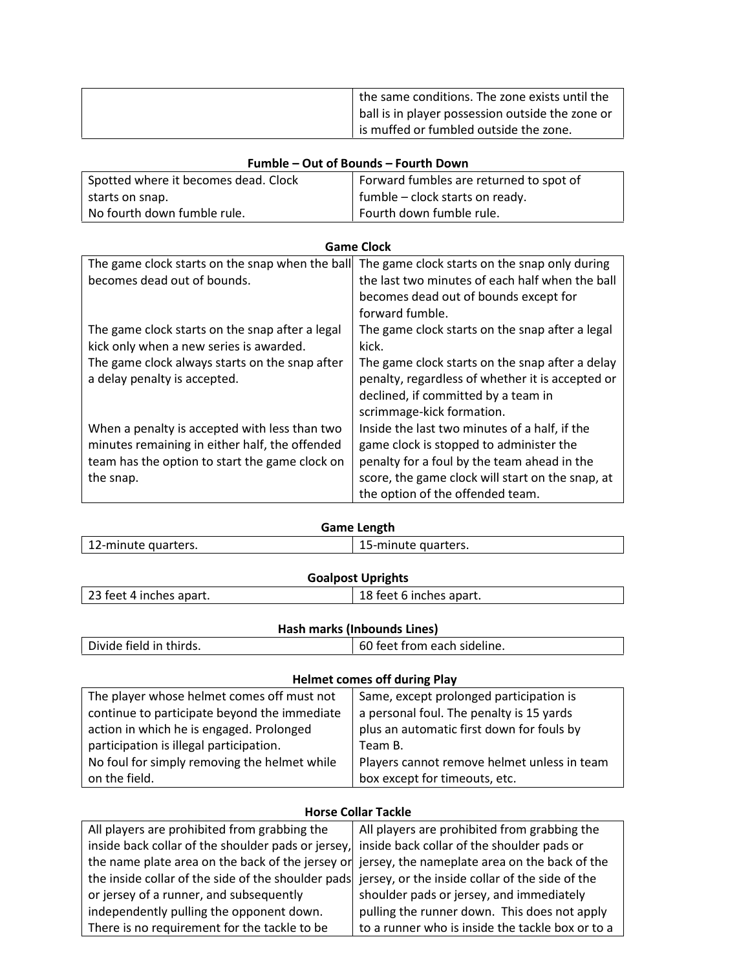| the same conditions. The zone exists until the   |
|--------------------------------------------------|
| ball is in player possession outside the zone or |
| is muffed or fumbled outside the zone.           |

| Fumble – Out of Bounds – Fourth Down |                                         |  |
|--------------------------------------|-----------------------------------------|--|
| Spotted where it becomes dead. Clock | Forward fumbles are returned to spot of |  |
| starts on snap.                      | $\vert$ fumble – clock starts on ready. |  |
| No fourth down fumble rule.          | Fourth down fumble rule.                |  |

| <b>Game Clock</b>                               |                                                  |  |
|-------------------------------------------------|--------------------------------------------------|--|
| The game clock starts on the snap when the ball | The game clock starts on the snap only during    |  |
| becomes dead out of bounds.                     | the last two minutes of each half when the ball  |  |
|                                                 | becomes dead out of bounds except for            |  |
|                                                 | forward fumble.                                  |  |
| The game clock starts on the snap after a legal | The game clock starts on the snap after a legal  |  |
| kick only when a new series is awarded.         | kick.                                            |  |
| The game clock always starts on the snap after  | The game clock starts on the snap after a delay  |  |
| a delay penalty is accepted.                    | penalty, regardless of whether it is accepted or |  |
|                                                 | declined, if committed by a team in              |  |
|                                                 | scrimmage-kick formation.                        |  |
| When a penalty is accepted with less than two   | Inside the last two minutes of a half, if the    |  |
| minutes remaining in either half, the offended  | game clock is stopped to administer the          |  |
| team has the option to start the game clock on  | penalty for a foul by the team ahead in the      |  |
| the snap.                                       | score, the game clock will start on the snap, at |  |
|                                                 | the option of the offended team.                 |  |

| Game Length         |                     |  |
|---------------------|---------------------|--|
| 12-minute quarters. | 15-minute quarters. |  |
| Andreas Hollands    |                     |  |

| <b>Goalpost Uprights</b> |                         |  |
|--------------------------|-------------------------|--|
| 23 feet 4 inches apart.  | 18 feet 6 inches apart. |  |
|                          |                         |  |

# **Hash marks (Inbounds Lines)**

| Divide field in thirds. | 60 feet from each sideline. |
|-------------------------|-----------------------------|

## **Helmet comes off during Play**

| The player whose helmet comes off must not   | Same, except prolonged participation is     |  |
|----------------------------------------------|---------------------------------------------|--|
| continue to participate beyond the immediate | a personal foul. The penalty is 15 yards    |  |
| action in which he is engaged. Prolonged     | plus an automatic first down for fouls by   |  |
| participation is illegal participation.      | Team B.                                     |  |
| No foul for simply removing the helmet while | Players cannot remove helmet unless in team |  |
| on the field.                                | box except for timeouts, etc.               |  |

#### **Horse Collar Tackle**

| All players are prohibited from grabbing the                                                       | All players are prohibited from grabbing the     |
|----------------------------------------------------------------------------------------------------|--------------------------------------------------|
| inside back collar of the shoulder pads or jersey, inside back collar of the shoulder pads or      |                                                  |
| the name plate area on the back of the jersey or jersey, the nameplate area on the back of the     |                                                  |
| the inside collar of the side of the shoulder pads jersey, or the inside collar of the side of the |                                                  |
| or jersey of a runner, and subsequently                                                            | shoulder pads or jersey, and immediately         |
| independently pulling the opponent down.                                                           | pulling the runner down. This does not apply     |
| There is no requirement for the tackle to be                                                       | to a runner who is inside the tackle box or to a |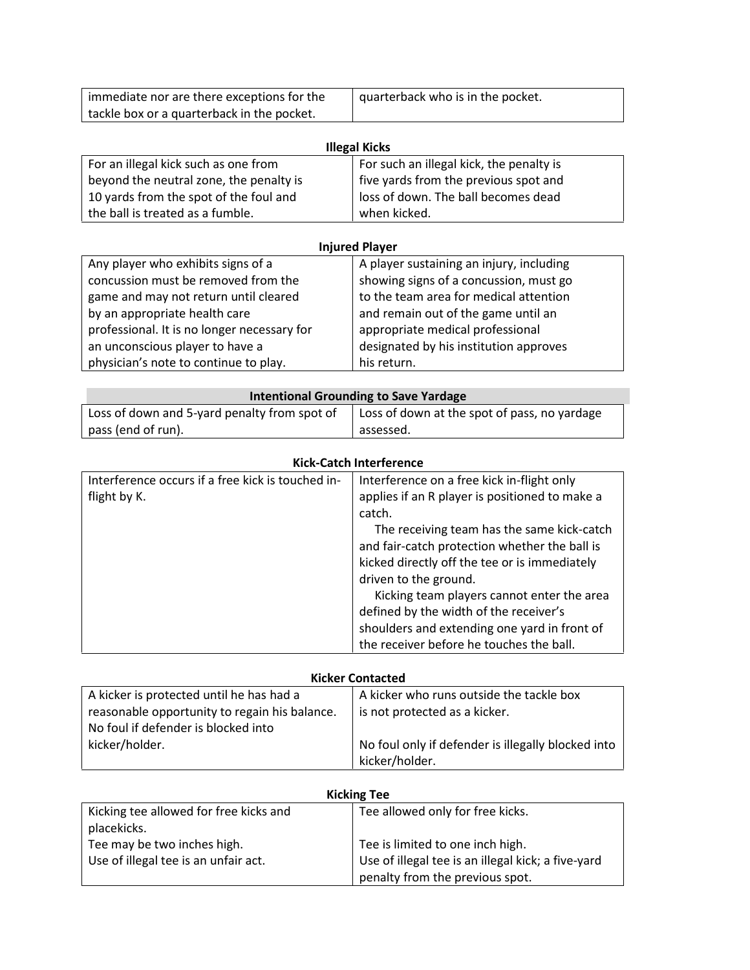| immediate nor are there exceptions for the | quarterback who is in the pocket. |
|--------------------------------------------|-----------------------------------|
| tackle box or a quarterback in the pocket. |                                   |

| <b>Illegal Kicks</b>                    |                                          |  |
|-----------------------------------------|------------------------------------------|--|
| For an illegal kick such as one from    | For such an illegal kick, the penalty is |  |
| beyond the neutral zone, the penalty is | five yards from the previous spot and    |  |
| 10 yards from the spot of the foul and  | loss of down. The ball becomes dead      |  |
| the ball is treated as a fumble.        | when kicked.                             |  |

| <b>Injured Player</b>                       |                                          |  |
|---------------------------------------------|------------------------------------------|--|
| Any player who exhibits signs of a          | A player sustaining an injury, including |  |
| concussion must be removed from the         | showing signs of a concussion, must go   |  |
| game and may not return until cleared       | to the team area for medical attention   |  |
| by an appropriate health care               | and remain out of the game until an      |  |
| professional. It is no longer necessary for | appropriate medical professional         |  |
| an unconscious player to have a             | designated by his institution approves   |  |
| physician's note to continue to play.       | his return.                              |  |

| Intentional Grounding to Save Yardage        |                                              |
|----------------------------------------------|----------------------------------------------|
| Loss of down and 5-yard penalty from spot of | Loss of down at the spot of pass, no yardage |
| pass (end of run).                           | assessed.                                    |

| <b>Kick-Catch Interference</b>                    |                                                |
|---------------------------------------------------|------------------------------------------------|
| Interference occurs if a free kick is touched in- | Interference on a free kick in-flight only     |
| flight by K.                                      | applies if an R player is positioned to make a |
|                                                   | catch.                                         |
|                                                   | The receiving team has the same kick-catch     |
|                                                   | and fair-catch protection whether the ball is  |
|                                                   | kicked directly off the tee or is immediately  |
|                                                   | driven to the ground.                          |
|                                                   | Kicking team players cannot enter the area     |
|                                                   | defined by the width of the receiver's         |
|                                                   | shoulders and extending one yard in front of   |
|                                                   | the receiver before he touches the ball.       |

| <b>Kicker Contacted</b> |  |
|-------------------------|--|
|-------------------------|--|

| A kicker is protected until he has had a<br>reasonable opportunity to regain his balance.<br>No foul if defender is blocked into | A kicker who runs outside the tackle box<br>is not protected as a kicker. |  |
|----------------------------------------------------------------------------------------------------------------------------------|---------------------------------------------------------------------------|--|
| kicker/holder.                                                                                                                   | No foul only if defender is illegally blocked into<br>kicker/holder.      |  |

| <b>Kicking Tee</b>                                                  |                                                                                        |
|---------------------------------------------------------------------|----------------------------------------------------------------------------------------|
| Kicking tee allowed for free kicks and<br>placekicks.               | Tee allowed only for free kicks.                                                       |
| Tee may be two inches high.<br>Use of illegal tee is an unfair act. | Tee is limited to one inch high.<br>Use of illegal tee is an illegal kick; a five-yard |
|                                                                     | penalty from the previous spot.                                                        |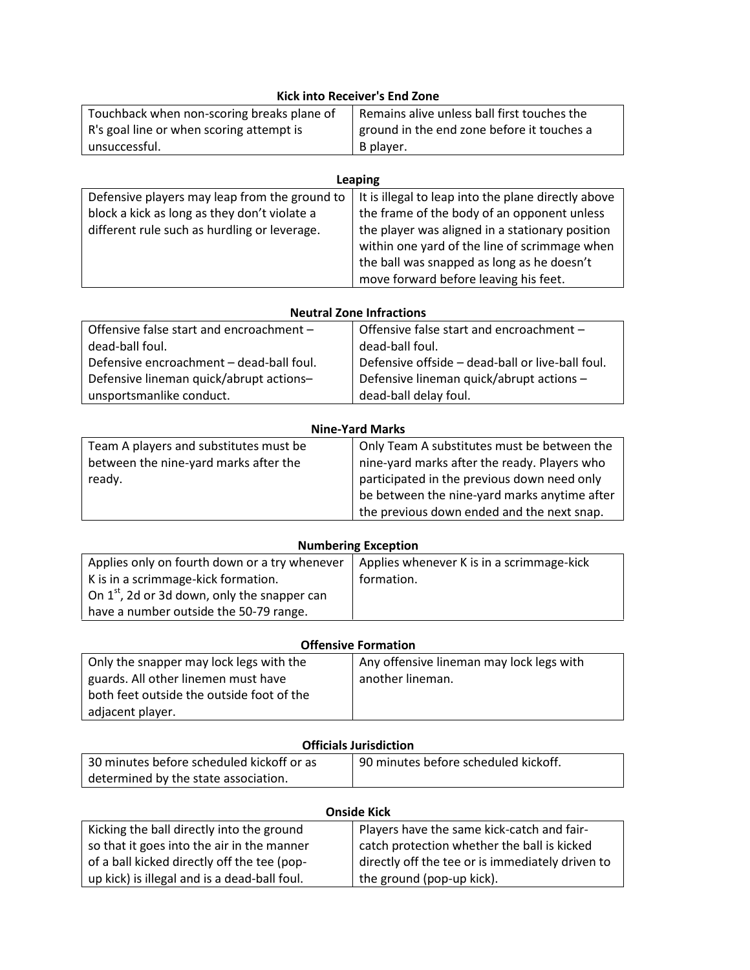| <b>Kick into Receiver's End Zone</b>       |                                             |  |
|--------------------------------------------|---------------------------------------------|--|
| Touchback when non-scoring breaks plane of | Remains alive unless ball first touches the |  |
| R's goal line or when scoring attempt is   | ground in the end zone before it touches a  |  |
| unsuccessful.                              | B player.                                   |  |

| <b>Leaping</b>                                |                                                     |
|-----------------------------------------------|-----------------------------------------------------|
| Defensive players may leap from the ground to | It is illegal to leap into the plane directly above |
| block a kick as long as they don't violate a  | the frame of the body of an opponent unless         |
| different rule such as hurdling or leverage.  | the player was aligned in a stationary position     |
|                                               | within one yard of the line of scrimmage when       |
|                                               | the ball was snapped as long as he doesn't          |
|                                               | move forward before leaving his feet.               |

| <b>Neutral Zone Infractions</b>          |                                                  |  |
|------------------------------------------|--------------------------------------------------|--|
| Offensive false start and encroachment - | Offensive false start and encroachment -         |  |
| dead-ball foul.                          | dead-ball foul.                                  |  |
| Defensive encroachment - dead-ball foul. | Defensive offside - dead-ball or live-ball foul. |  |
| Defensive lineman quick/abrupt actions-  | Defensive lineman quick/abrupt actions -         |  |
| unsportsmanlike conduct.                 | dead-ball delay foul.                            |  |

| <b>Nine-Yard Marks</b>                 |                                              |  |
|----------------------------------------|----------------------------------------------|--|
| Team A players and substitutes must be | Only Team A substitutes must be between the  |  |
| between the nine-yard marks after the  | nine-yard marks after the ready. Players who |  |
| ready.                                 | participated in the previous down need only  |  |
|                                        | be between the nine-yard marks anytime after |  |
|                                        | the previous down ended and the next snap.   |  |

| <b>Numbering Exception</b> |
|----------------------------|
|                            |

| Applies only on fourth down or a try whenever     | Applies whenever K is in a scrimmage-kick |
|---------------------------------------------------|-------------------------------------------|
| K is in a scrimmage-kick formation.               | formation.                                |
| On $1^{st}$ , 2d or 3d down, only the snapper can |                                           |
| have a number outside the 50-79 range.            |                                           |

| <b>Offensive Formation</b> |                                                                        |
|----------------------------|------------------------------------------------------------------------|
| المستحلف الما              | $\Lambda$ and $\Lambda$ <b>f</b> $\Lambda$ and $\Lambda$ and $\Lambda$ |

| Only the snapper may lock legs with the   | Any offensive lineman may lock legs with |  |
|-------------------------------------------|------------------------------------------|--|
| guards. All other linemen must have       | another lineman.                         |  |
| both feet outside the outside foot of the |                                          |  |
| adjacent player.                          |                                          |  |

### **Officials Jurisdiction**

| 30 minutes before scheduled kickoff or as | 90 minutes before scheduled kickoff. |
|-------------------------------------------|--------------------------------------|
| determined by the state association.      |                                      |

| <b>Onside Kick</b>                           |                                                  |  |
|----------------------------------------------|--------------------------------------------------|--|
| Kicking the ball directly into the ground    | Players have the same kick-catch and fair-       |  |
| so that it goes into the air in the manner   | catch protection whether the ball is kicked      |  |
| of a ball kicked directly off the tee (pop-  | directly off the tee or is immediately driven to |  |
| up kick) is illegal and is a dead-ball foul. | the ground (pop-up kick).                        |  |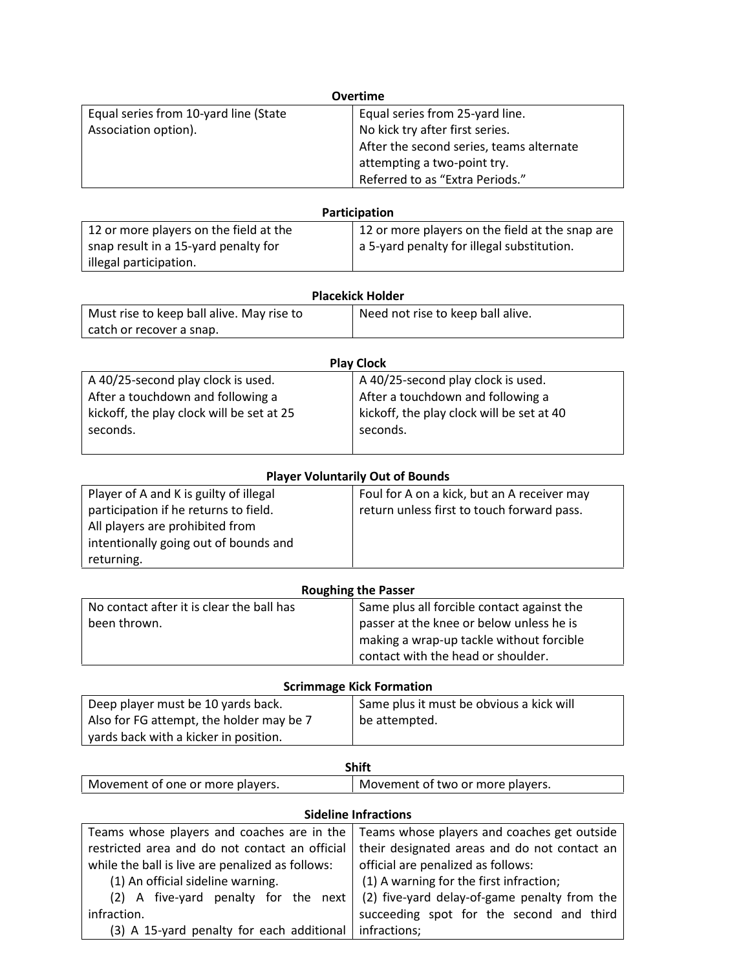| <b>Overtime</b>                       |                                          |
|---------------------------------------|------------------------------------------|
| Equal series from 10-yard line (State | Equal series from 25-yard line.          |
| Association option).                  | No kick try after first series.          |
|                                       | After the second series, teams alternate |
|                                       | attempting a two-point try.              |
|                                       | Referred to as "Extra Periods."          |

| <b>Participation</b>                   |                                                 |  |
|----------------------------------------|-------------------------------------------------|--|
| 12 or more players on the field at the | 12 or more players on the field at the snap are |  |
| snap result in a 15-yard penalty for   | a 5-yard penalty for illegal substitution.      |  |
| illegal participation.                 |                                                 |  |

| <b>Placekick Holder</b>                   |                                   |  |
|-------------------------------------------|-----------------------------------|--|
| Must rise to keep ball alive. May rise to | Need not rise to keep ball alive. |  |
| catch or recover a snap.                  |                                   |  |

| <b>Play Clock</b>                         |                                           |  |
|-------------------------------------------|-------------------------------------------|--|
| A 40/25-second play clock is used.        | A 40/25-second play clock is used.        |  |
| After a touchdown and following a         | After a touchdown and following a         |  |
| kickoff, the play clock will be set at 25 | kickoff, the play clock will be set at 40 |  |
| seconds.                                  | seconds.                                  |  |
|                                           |                                           |  |

| <b>Player Voluntarily Out of Bounds</b> |                                             |  |
|-----------------------------------------|---------------------------------------------|--|
| Player of A and K is guilty of illegal  | Foul for A on a kick, but an A receiver may |  |
| participation if he returns to field.   | return unless first to touch forward pass.  |  |
| All players are prohibited from         |                                             |  |
| intentionally going out of bounds and   |                                             |  |
| returning.                              |                                             |  |

| <b>Roughing the Passer</b>                |                                            |  |
|-------------------------------------------|--------------------------------------------|--|
| No contact after it is clear the ball has | Same plus all forcible contact against the |  |
| been thrown.                              | passer at the knee or below unless he is   |  |
|                                           | making a wrap-up tackle without forcible   |  |
|                                           | contact with the head or shoulder.         |  |

#### **Scrimmage Kick Formation**

| Deep player must be 10 yards back.       | Same plus it must be obvious a kick will |
|------------------------------------------|------------------------------------------|
| Also for FG attempt, the holder may be 7 | be attempted.                            |
| yards back with a kicker in position.    |                                          |

|                                  | <b>Shift</b>                     |
|----------------------------------|----------------------------------|
| Movement of one or more players. | Movement of two or more players. |

| <b>Sideline Infractions</b>                      |                                              |  |
|--------------------------------------------------|----------------------------------------------|--|
| Teams whose players and coaches are in the       | Teams whose players and coaches get outside  |  |
| restricted area and do not contact an official   | their designated areas and do not contact an |  |
| while the ball is live are penalized as follows: | official are penalized as follows:           |  |
| (1) An official sideline warning.                | (1) A warning for the first infraction;      |  |
| (2) A five-yard penalty for the next             | (2) five-yard delay-of-game penalty from the |  |
| infraction.                                      | succeeding spot for the second and third     |  |
| (3) A 15-yard penalty for each additional        | infractions;                                 |  |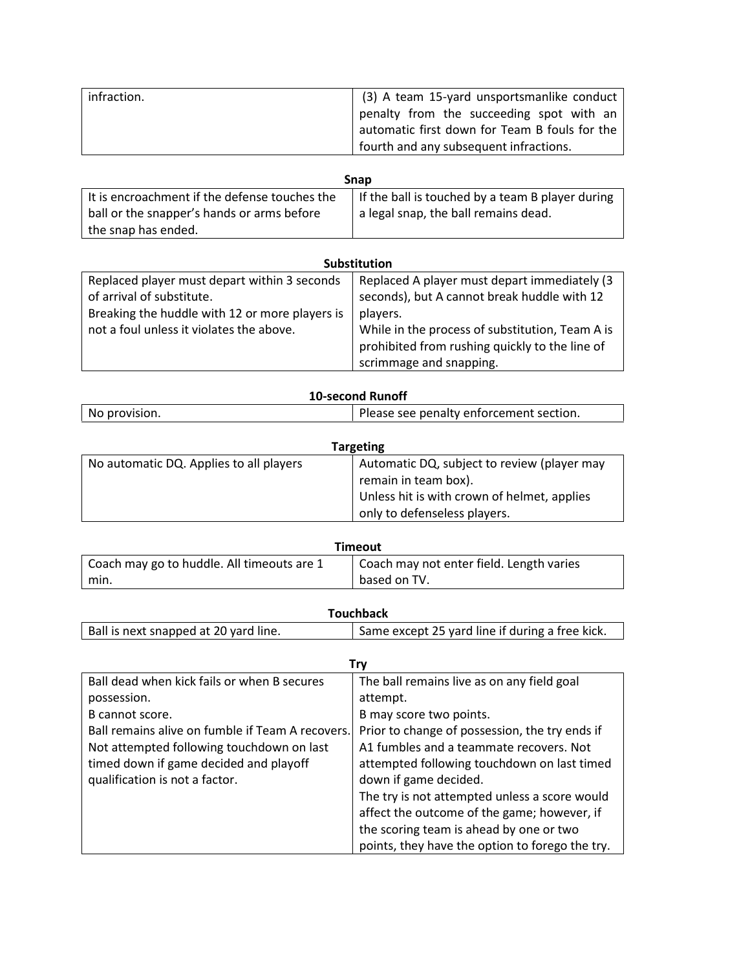| infraction. | (3) A team 15-yard unsportsmanlike conduct                |
|-------------|-----------------------------------------------------------|
|             | penalty from the succeeding spot with an                  |
|             | automatic first down for Team B fouls for the $\mathsf I$ |
|             | fourth and any subsequent infractions.                    |

| <b>Snap</b>                                   |                                                  |  |
|-----------------------------------------------|--------------------------------------------------|--|
| It is encroachment if the defense touches the | If the ball is touched by a team B player during |  |
| ball or the snapper's hands or arms before    | a legal snap, the ball remains dead.             |  |
| the snap has ended.                           |                                                  |  |

| <b>Substitution</b>                                                       |                                                                                                   |  |
|---------------------------------------------------------------------------|---------------------------------------------------------------------------------------------------|--|
| Replaced player must depart within 3 seconds<br>of arrival of substitute. | Replaced A player must depart immediately (3)<br>seconds), but A cannot break huddle with 12      |  |
| Breaking the huddle with 12 or more players is                            | players.                                                                                          |  |
| not a foul unless it violates the above.                                  | While in the process of substitution, Team A is<br>prohibited from rushing quickly to the line of |  |
|                                                                           | scrimmage and snapping.                                                                           |  |

# **10-second Runoff** No provision. **Please see penalty enforcement section.**

| <b>Targeting</b>                        |                                             |  |
|-----------------------------------------|---------------------------------------------|--|
| No automatic DQ. Applies to all players | Automatic DQ, subject to review (player may |  |
|                                         | remain in team box).                        |  |
|                                         | Unless hit is with crown of helmet, applies |  |
|                                         | only to defenseless players.                |  |

| Timeout                                    |                                          |
|--------------------------------------------|------------------------------------------|
| Coach may go to huddle. All timeouts are 1 | Coach may not enter field. Length varies |
| min.                                       | based on TV.                             |

| Ball is next snapped at 20 yard line. | Same except 25 yard line if during a free kick. |
|---------------------------------------|-------------------------------------------------|
|                                       |                                                 |

|                                                  | Trv                                             |
|--------------------------------------------------|-------------------------------------------------|
| Ball dead when kick fails or when B secures      | The ball remains live as on any field goal      |
| possession.                                      | attempt.                                        |
| B cannot score.                                  | B may score two points.                         |
| Ball remains alive on fumble if Team A recovers. | Prior to change of possession, the try ends if  |
| Not attempted following touchdown on last        | A1 fumbles and a teammate recovers. Not         |
| timed down if game decided and playoff           | attempted following touchdown on last timed     |
| qualification is not a factor.                   | down if game decided.                           |
|                                                  | The try is not attempted unless a score would   |
|                                                  | affect the outcome of the game; however, if     |
|                                                  | the scoring team is ahead by one or two         |
|                                                  | points, they have the option to forego the try. |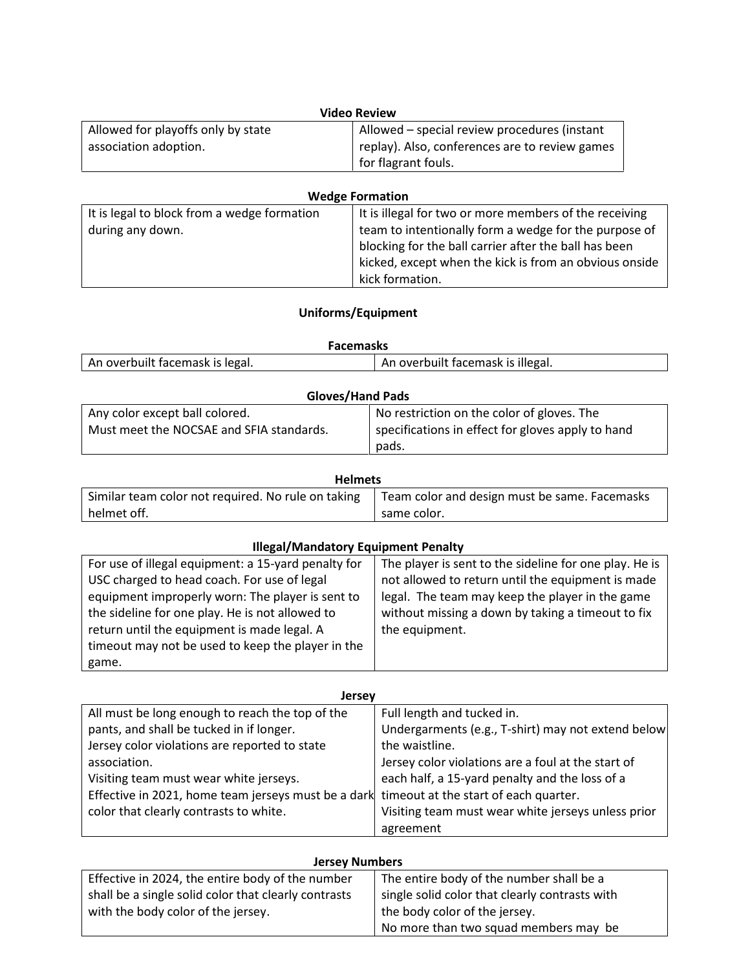| <b>Video Review</b>                |                                                |
|------------------------------------|------------------------------------------------|
| Allowed for playoffs only by state | Allowed - special review procedures (instant   |
| association adoption.              | replay). Also, conferences are to review games |
|                                    | for flagrant fouls.                            |

| <b>Wedge Formation</b>                      |                                                        |
|---------------------------------------------|--------------------------------------------------------|
| It is legal to block from a wedge formation | It is illegal for two or more members of the receiving |
| during any down.                            | team to intentionally form a wedge for the purpose of  |
|                                             | blocking for the ball carrier after the ball has been  |
|                                             | kicked, except when the kick is from an obvious onside |
|                                             | kick formation.                                        |

# **Uniforms/Equipment**

| <b>Facemasks</b>                                                     |  |  |
|----------------------------------------------------------------------|--|--|
| An overbuilt facemask is legal.<br>An overbuilt facemask is illegal. |  |  |

| <b>Gloves/Hand Pads</b>                  |                                                   |
|------------------------------------------|---------------------------------------------------|
| Any color except ball colored.           | No restriction on the color of gloves. The        |
| Must meet the NOCSAE and SFIA standards. | specifications in effect for gloves apply to hand |
|                                          | pads.                                             |

| <b>Helmets</b>                                     |                                               |
|----------------------------------------------------|-----------------------------------------------|
| Similar team color not required. No rule on taking | Team color and design must be same. Facemasks |
| helmet off.                                        | same color.                                   |

### **Illegal/Mandatory Equipment Penalty**

| For use of illegal equipment: a 15-yard penalty for | The player is sent to the sideline for one play. He is |
|-----------------------------------------------------|--------------------------------------------------------|
| USC charged to head coach. For use of legal         | not allowed to return until the equipment is made      |
| equipment improperly worn: The player is sent to    | legal. The team may keep the player in the game        |
| the sideline for one play. He is not allowed to     | without missing a down by taking a timeout to fix      |
| return until the equipment is made legal. A         | the equipment.                                         |
| timeout may not be used to keep the player in the   |                                                        |
| game.                                               |                                                        |

| <b>Jersey</b>                                                                             |                                                    |
|-------------------------------------------------------------------------------------------|----------------------------------------------------|
| All must be long enough to reach the top of the                                           | Full length and tucked in.                         |
| pants, and shall be tucked in if longer.                                                  | Undergarments (e.g., T-shirt) may not extend below |
| Jersey color violations are reported to state                                             | the waistline.                                     |
| association.                                                                              | Jersey color violations are a foul at the start of |
| Visiting team must wear white jerseys.                                                    | each half, a 15-yard penalty and the loss of a     |
| Effective in 2021, home team jerseys must be a dark timeout at the start of each quarter. |                                                    |
| color that clearly contrasts to white.                                                    | Visiting team must wear white jerseys unless prior |
|                                                                                           | agreement                                          |

#### **Jersey Numbers**

| Effective in 2024, the entire body of the number     | The entire body of the number shall be a                     |
|------------------------------------------------------|--------------------------------------------------------------|
| shall be a single solid color that clearly contrasts | $\frac{1}{2}$ single solid color that clearly contrasts with |
| with the body color of the jersey.                   | the body color of the jersey.                                |
|                                                      | No more than two squad members may be                        |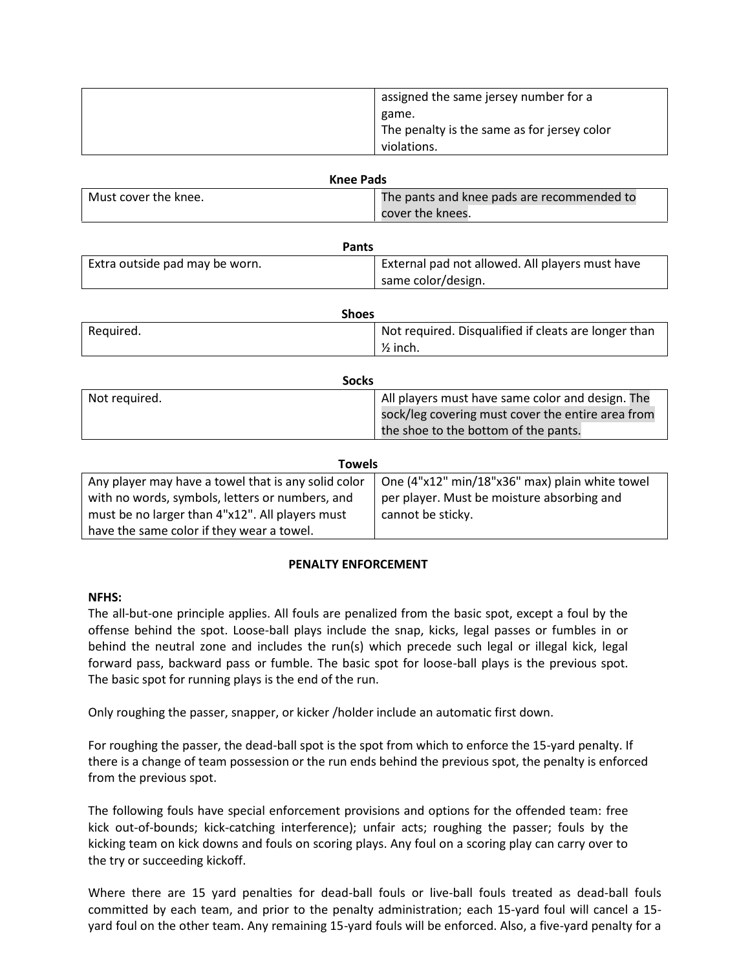| assigned the same jersey number for a       |
|---------------------------------------------|
| game.                                       |
| The penalty is the same as for jersey color |
| violations.                                 |

| <b>Knee Pads</b>     |                                            |
|----------------------|--------------------------------------------|
| Must cover the knee. | The pants and knee pads are recommended to |
|                      | cover the knees.                           |

| <b>Pants</b>                   |                                                 |  |
|--------------------------------|-------------------------------------------------|--|
| Extra outside pad may be worn. | External pad not allowed. All players must have |  |
|                                | same color/design.                              |  |

| Shoes     |                                                      |
|-----------|------------------------------------------------------|
| Required. | Not required. Disqualified if cleats are longer than |
|           | $\frac{1}{2}$ inch.                                  |

|               | <b>Socks</b>                                      |
|---------------|---------------------------------------------------|
| Not required. | All players must have same color and design. The  |
|               | sock/leg covering must cover the entire area from |
|               | the shoe to the bottom of the pants.              |

| <b>Towels</b>                                       |                                                |  |
|-----------------------------------------------------|------------------------------------------------|--|
| Any player may have a towel that is any solid color | One (4"x12" min/18"x36" max) plain white towel |  |
| with no words, symbols, letters or numbers, and     | per player. Must be moisture absorbing and     |  |
| must be no larger than 4"x12". All players must     | cannot be sticky.                              |  |
| have the same color if they wear a towel.           |                                                |  |

#### **PENALTY ENFORCEMENT**

#### **NFHS:**

The all-but-one principle applies. All fouls are penalized from the basic spot, except a foul by the offense behind the spot. Loose-ball plays include the snap, kicks, legal passes or fumbles in or behind the neutral zone and includes the run(s) which precede such legal or illegal kick, legal forward pass, backward pass or fumble. The basic spot for loose-ball plays is the previous spot. The basic spot for running plays is the end of the run.

Only roughing the passer, snapper, or kicker /holder include an automatic first down.

For roughing the passer, the dead-ball spot is the spot from which to enforce the 15-yard penalty. If there is a change of team possession or the run ends behind the previous spot, the penalty is enforced from the previous spot.

The following fouls have special enforcement provisions and options for the offended team: free kick out-of-bounds; kick-catching interference); unfair acts; roughing the passer; fouls by the kicking team on kick downs and fouls on scoring plays. Any foul on a scoring play can carry over to the try or succeeding kickoff.

Where there are 15 yard penalties for dead-ball fouls or live-ball fouls treated as dead-ball fouls committed by each team, and prior to the penalty administration; each 15-yard foul will cancel a 15 yard foul on the other team. Any remaining 15-yard fouls will be enforced. Also, a five-yard penalty for a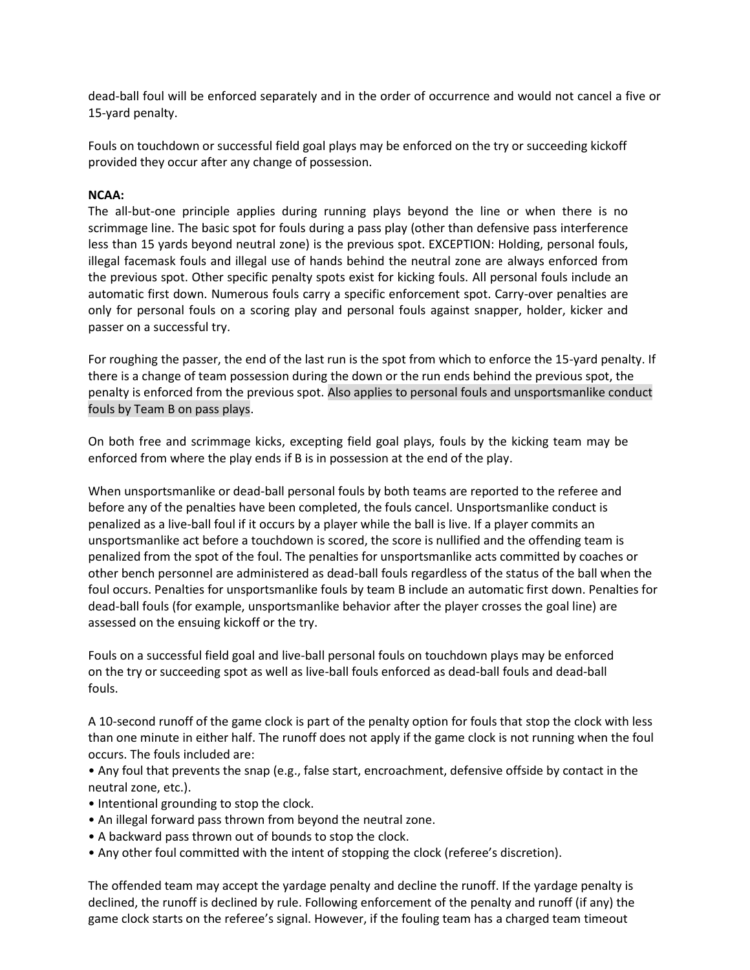dead-ball foul will be enforced separately and in the order of occurrence and would not cancel a five or 15-yard penalty.

Fouls on touchdown or successful field goal plays may be enforced on the try or succeeding kickoff provided they occur after any change of possession.

#### **NCAA:**

The all-but-one principle applies during running plays beyond the line or when there is no scrimmage line. The basic spot for fouls during a pass play (other than defensive pass interference less than 15 yards beyond neutral zone) is the previous spot. EXCEPTION: Holding, personal fouls, illegal facemask fouls and illegal use of hands behind the neutral zone are always enforced from the previous spot. Other specific penalty spots exist for kicking fouls. All personal fouls include an automatic first down. Numerous fouls carry a specific enforcement spot. Carry-over penalties are only for personal fouls on a scoring play and personal fouls against snapper, holder, kicker and passer on a successful try.

For roughing the passer, the end of the last run is the spot from which to enforce the 15-yard penalty. If there is a change of team possession during the down or the run ends behind the previous spot, the penalty is enforced from the previous spot. Also applies to personal fouls and unsportsmanlike conduct fouls by Team B on pass plays.

On both free and scrimmage kicks, excepting field goal plays, fouls by the kicking team may be enforced from where the play ends if B is in possession at the end of the play.

When unsportsmanlike or dead-ball personal fouls by both teams are reported to the referee and before any of the penalties have been completed, the fouls cancel. Unsportsmanlike conduct is penalized as a live-ball foul if it occurs by a player while the ball is live. If a player commits an unsportsmanlike act before a touchdown is scored, the score is nullified and the offending team is penalized from the spot of the foul. The penalties for unsportsmanlike acts committed by coaches or other bench personnel are administered as dead-ball fouls regardless of the status of the ball when the foul occurs. Penalties for unsportsmanlike fouls by team B include an automatic first down. Penalties for dead-ball fouls (for example, unsportsmanlike behavior after the player crosses the goalline) are assessed on the ensuing kickoff or the try.

Fouls on a successful field goal and live-ball personal fouls on touchdown plays may be enforced on the try or succeeding spot as well as live-ball fouls enforced as dead-ball fouls and dead-ball fouls.

A 10-second runoff of the game clock is part of the penalty option for fouls that stop the clock with less than one minute in either half. The runoff does not apply if the game clock is not running when the foul occurs. The fouls included are:

• Any foul that prevents the snap (e.g., false start, encroachment, defensive offside by contact in the neutral zone, etc.).

- Intentional grounding to stop the clock.
- An illegal forward pass thrown from beyond the neutral zone.
- A backward pass thrown out of bounds to stop the clock.
- Any other foul committed with the intent of stopping the clock (referee's discretion).

The offended team may accept the yardage penalty and decline the runoff. If the yardage penalty is declined, the runoff is declined by rule. Following enforcement of the penalty and runoff (if any) the game clock starts on the referee's signal. However, if the fouling team has a charged team timeout